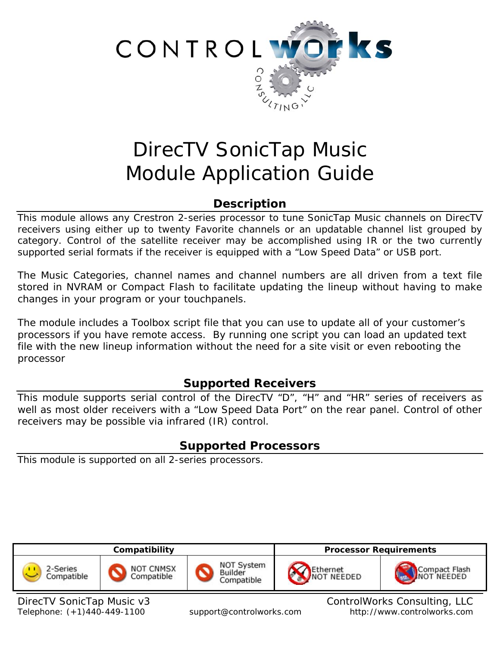

# DirecTV SonicTap Music Module Application Guide

# **Description**

This module allows any Crestron 2-series processor to tune SonicTap Music channels on DirecTV receivers using either up to twenty Favorite channels or an updatable channel list grouped by category. Control of the satellite receiver may be accomplished using IR or the two currently supported serial formats if the receiver is equipped with a "Low Speed Data" or USB port.

The Music Categories, channel names and channel numbers are all driven from a text file stored in NVRAM or Compact Flash to facilitate updating the lineup without having to make changes in your program or your touchpanels.

The module includes a Toolbox script file that you can use to update all of your customer's processors if you have remote access. By running one script you can load an updated text file with the new lineup information without the need for a site visit or even rebooting the processor

# **Supported Receivers**

This module supports serial control of the DirecTV "D", "H" and "HR" series of receivers as well as most older receivers with a "Low Speed Data Port" on the rear panel. Control of other receivers may be possible via infrared (IR) control.

# **Supported Processors**

This module is supported on all 2-series processors.



DirecTV SonicTap Music v3 ControlWorks Consulting, LLC Telephone: (+1)440-449-1100 support@controlworks.com http://www.controlworks.com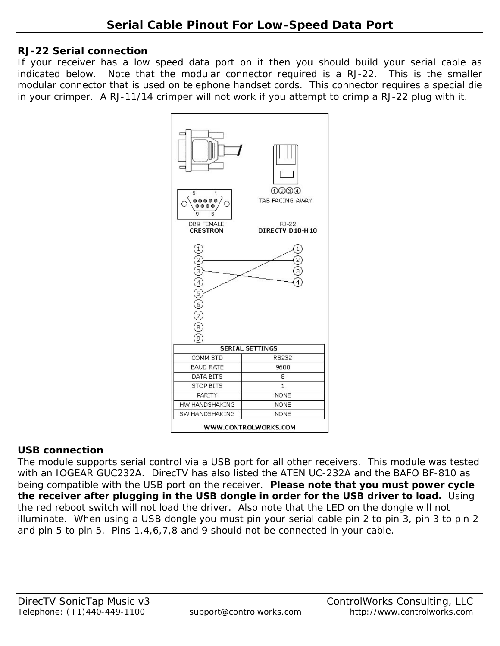#### **RJ-22 Serial connection**

If your receiver has a low speed data port on it then you should build your serial cable as indicated below. Note that the modular connector required is a RJ-22. This is the smaller modular connector that is used on telephone handset cords. This connector requires a special die in your crimper. A RJ-11/14 crimper will not work if you attempt to crimp a RJ-22 plug with it.



## **USB connection**

The module supports serial control via a USB port for all other receivers. This module was tested with an IOGEAR GUC232A. DirecTV has also listed the ATEN UC-232A and the BAFO BF-810 as being compatible with the USB port on the receiver. **Please note that you must power cycle the receiver after plugging in the USB dongle in order for the USB driver to load.** Using the red reboot switch will not load the driver.Also note that the LED on the dongle will not illuminate. When using a USB dongle you must pin your serial cable pin 2 to pin 3, pin 3 to pin 2 and pin 5 to pin 5. Pins 1,4,6,7,8 and 9 should not be connected in your cable.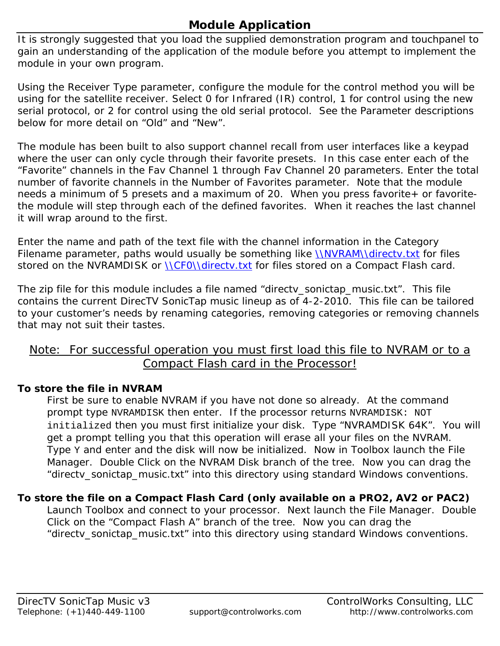# **Module Application**

It is strongly suggested that you load the supplied demonstration program and touchpanel to gain an understanding of the application of the module before you attempt to implement the module in your own program.

Using the Receiver Type parameter, configure the module for the control method you will be using for the satellite receiver. Select 0 for Infrared (IR) control, 1 for control using the new serial protocol, or 2 for control using the old serial protocol. See the Parameter descriptions below for more detail on "Old" and "New".

The module has been built to also support channel recall from user interfaces like a keypad where the user can only cycle through their favorite presets. In this case enter each of the "Favorite" channels in the Fav Channel 1 through Fav Channel 20 parameters. Enter the total number of favorite channels in the Number of Favorites parameter. Note that the module needs a minimum of 5 presets and a maximum of 20. When you press favorite+ or favoritethe module will step through each of the defined favorites. When it reaches the last channel it will wrap around to the first.

Enter the name and path of the text file with the channel information in the Category Filename parameter, paths would usually be something like *NNVRAMNdirectv.txt* for files stored on the NVRAMDISK or *NCF0Ndirectv.txt* for files stored on a Compact Flash card.

The zip file for this module includes a file named "directv\_sonictap\_music.txt". This file contains the current DirecTV SonicTap music lineup as of 4-2-2010. This file can be tailored to your customer's needs by renaming categories, removing categories or removing channels that may not suit their tastes.

## Note: For successful operation you must first load this file to NVRAM or to a Compact Flash card in the Processor!

## **To store the file in NVRAM**

First be sure to enable NVRAM if you have not done so already. At the command prompt type NVRAMDISK then enter. If the processor returns NVRAMDISK: NOT initialized then you must first initialize your disk. Type "NVRAMDISK 64K". You will get a prompt telling you that this operation will erase all your files on the NVRAM. Type Y and enter and the disk will now be initialized. Now in Toolbox launch the File Manager. Double Click on the NVRAM Disk branch of the tree. Now you can drag the "directv\_sonictap\_music.txt" into this directory using standard Windows conventions.

## **To store the file on a Compact Flash Card (only available on a PRO2, AV2 or PAC2)**

Launch Toolbox and connect to your processor. Next launch the File Manager. Double Click on the "Compact Flash A" branch of the tree. Now you can drag the "directv\_sonictap\_music.txt" into this directory using standard Windows conventions.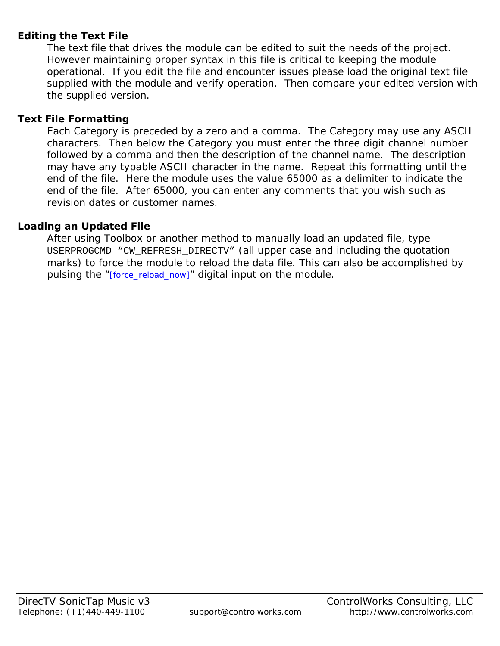## **Editing the Text File**

The text file that drives the module can be edited to suit the needs of the project. However maintaining proper syntax in this file is critical to keeping the module operational. If you edit the file and encounter issues please load the original text file supplied with the module and verify operation. Then compare your edited version with the supplied version.

## **Text File Formatting**

Each Category is preceded by a zero and a comma. The Category may use any ASCII characters. Then below the Category you must enter the three digit channel number followed by a comma and then the description of the channel name. The description may have any typable ASCII character in the name. Repeat this formatting until the end of the file. Here the module uses the value 65000 as a delimiter to indicate the end of the file. After 65000, you can enter any comments that you wish such as revision dates or customer names.

## **Loading an Updated File**

After using Toolbox or another method to manually load an updated file, type USERPROGCMD "CW\_REFRESH\_DIRECTV" (all upper case and including the quotation marks) to force the module to reload the data file. This can also be accomplished by pulsing the "[force\_reload\_now]" digital input on the module.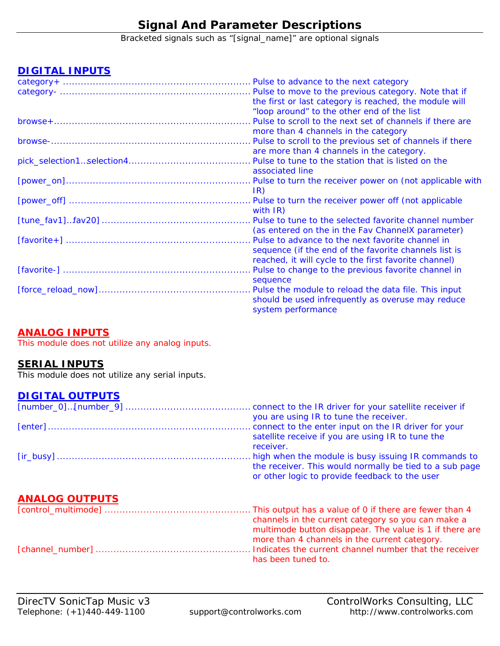# **Signal And Parameter Descriptions**

Bracketed signals such as "[signal\_name]" are optional signals

## **DIGITAL INPUTS**

|                                 | Pulse to advance to the next category                    |
|---------------------------------|----------------------------------------------------------|
|                                 | Pulse to move to the previous category. Note that if     |
|                                 | the first or last category is reached, the module will   |
|                                 | "loop around" to the other end of the list               |
| browse+……………………………………………………………… | Pulse to scroll to the next set of channels if there are |
|                                 | more than 4 channels in the category                     |
|                                 | Pulse to scroll to the previous set of channels if there |
|                                 | are more than 4 channels in the category.                |
|                                 |                                                          |
|                                 | associated line                                          |
|                                 |                                                          |
|                                 | IR)                                                      |
|                                 | Pulse to turn the receiver power off (not applicable     |
|                                 | with $IR$ )                                              |
|                                 | Pulse to tune to the selected favorite channel number    |
|                                 | (as entered on the in the Fav Channel X parameter)       |
|                                 | Pulse to advance to the next favorite channel in         |
|                                 | sequence (if the end of the favorite channels list is    |
|                                 | reached, it will cycle to the first favorite channel)    |
|                                 | Pulse to change to the previous favorite channel in      |
|                                 | sequence                                                 |
|                                 | Pulse the module to reload the data file. This input     |
|                                 | should be used infrequently as overuse may reduce        |
|                                 | system performance                                       |

#### **ANALOG INPUTS**

This module does not utilize any analog inputs.

#### **SERIAL INPUTS**

This module does not utilize any serial inputs.

#### **DIGITAL OUTPUTS**

|                       | connect to the IR driver for your satellite receiver if<br>you are using IR to tune the receiver.                                                                |
|-----------------------|------------------------------------------------------------------------------------------------------------------------------------------------------------------|
|                       | connect to the enter input on the IR driver for your<br>satellite receive if you are using IR to tune the<br>receiver.                                           |
|                       | high when the module is busy issuing IR commands to<br>the receiver. This would normally be tied to a sub page<br>or other logic to provide feedback to the user |
| <b>ANALOG OUTPUTS</b> |                                                                                                                                                                  |
|                       | channels in the current category so you can make a<br>multimode button disappear. The value is 1 if there are<br>more than 4 channels in the current category.   |
|                       | has been tuned to.                                                                                                                                               |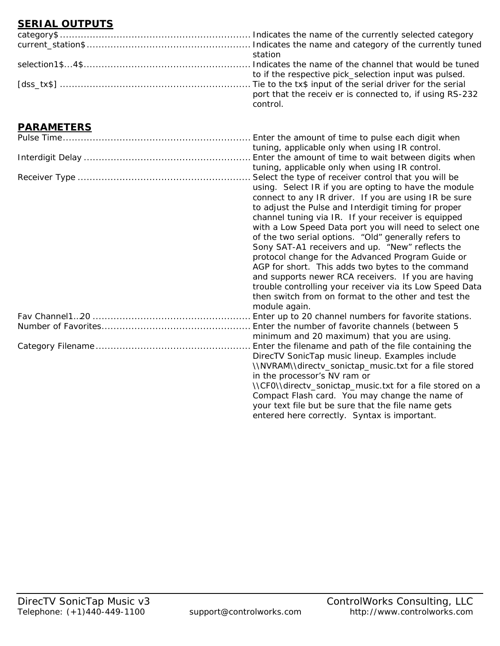## **SERIAL OUTPUTS**

| station                                                  |
|----------------------------------------------------------|
|                                                          |
| to if the respective pick_selection input was pulsed.    |
|                                                          |
| port that the receiv er is connected to, if using RS-232 |
| control.                                                 |

## **PARAMETERS**

| Enter the amount of time to pulse each digit when        |
|----------------------------------------------------------|
| tuning, applicable only when using IR control.           |
| Enter the amount of time to wait between digits when     |
| tuning, applicable only when using IR control.           |
| Select the type of receiver control that you will be     |
| using. Select IR if you are opting to have the module    |
| connect to any IR driver. If you are using IR be sure    |
| to adjust the Pulse and Interdigit timing for proper     |
| channel tuning via IR. If your receiver is equipped      |
| with a Low Speed Data port you will need to select one   |
| of the two serial options. "Old" generally refers to     |
| Sony SAT-A1 receivers and up. "New" reflects the         |
| protocol change for the Advanced Program Guide or        |
| AGP for short. This adds two bytes to the command        |
| and supports newer RCA receivers. If you are having      |
| trouble controlling your receiver via its Low Speed Data |
| then switch from on format to the other and test the     |
| module again.                                            |
| Enter up to 20 channel numbers for favorite stations.    |
| Enter the number of favorite channels (between 5         |
| minimum and 20 maximum) that you are using.              |
| Enter the filename and path of the file containing the   |
| DirecTV SonicTap music lineup. Examples include          |
| \\NVRAM\\directv_sonictap_music.txt for a file stored    |
| in the processor's NV ram or                             |
| \\CF0\\directv_sonictap_music.txt for a file stored on a |
| Compact Flash card. You may change the name of           |
| your text file but be sure that the file name gets       |
| entered here correctly. Syntax is important.             |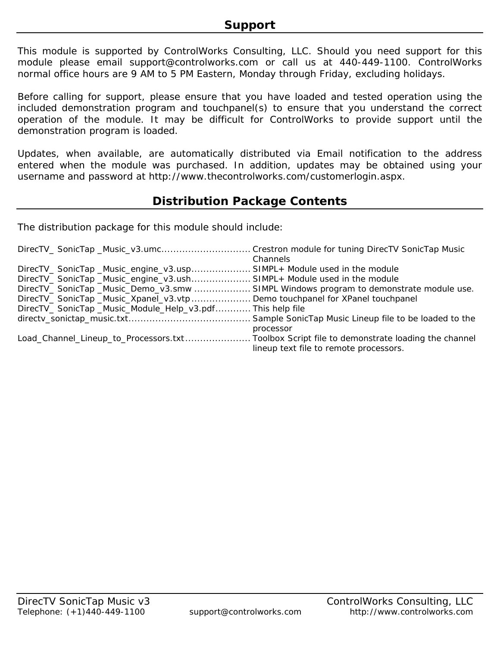This module is supported by ControlWorks Consulting, LLC. Should you need support for this module please email support@controlworks.com or call us at 440-449-1100. ControlWorks normal office hours are 9 AM to 5 PM Eastern, Monday through Friday, excluding holidays.

Before calling for support, please ensure that you have loaded and tested operation using the included demonstration program and touchpanel(s) to ensure that you understand the correct operation of the module. It may be difficult for ControlWorks to provide support until the demonstration program is loaded.

Updates, when available, are automatically distributed via Email notification to the address entered when the module was purchased. In addition, updates may be obtained using your username and password at http://www.thecontrolworks.com/customerlogin.aspx.

## **Distribution Package Contents**

The distribution package for this module should include:

| DirecTV_SonicTap_Music_v3.umcCrestron module for tuning DirecTV SonicTap Music      |                                        |
|-------------------------------------------------------------------------------------|----------------------------------------|
|                                                                                     | Channels                               |
| DirecTV_ SonicTap _Music_engine_v3.usp SIMPL+ Module used in the module             |                                        |
| DirecTV_ SonicTap _Music_engine_v3.ush SIMPL+ Module used in the module             |                                        |
| DirecTV_SonicTap_Music_Demo_v3.smw SIMPL Windows program to demonstrate module use. |                                        |
| DirecTV_SonicTap_Music_Xpanel_v3.vtp  Demo touchpanel for XPanel touchpanel         |                                        |
| DirecTV_SonicTap_Music_Module_Help_v3.pdfThis help file                             |                                        |
|                                                                                     |                                        |
|                                                                                     | processor                              |
|                                                                                     |                                        |
|                                                                                     | lineup text file to remote processors. |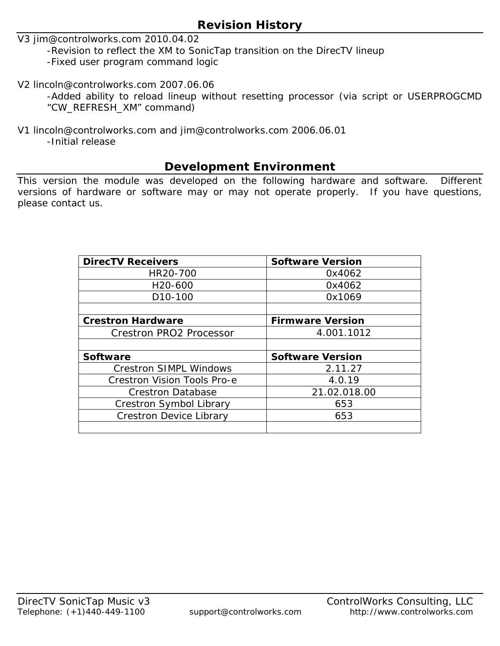## **Revision History**

V3 jim@controlworks.com 2010.04.02

-Revision to reflect the XM to SonicTap transition on the DirecTV lineup

-Fixed user program command logic

V2 lincoln@controlworks.com 2007.06.06

-Added ability to reload lineup without resetting processor (via script or USERPROGCMD "CW\_REFRESH\_XM" command)

V1 lincoln@controlworks.com and jim@controlworks.com 2006.06.01

-Initial release

## **Development Environment**

This version the module was developed on the following hardware and software. Different versions of hardware or software may or may not operate properly. If you have questions, please contact us.

| <b>DirecTV Receivers</b>           | <b>Software Version</b> |
|------------------------------------|-------------------------|
| HR20-700                           | 0x4062                  |
| H <sub>20</sub> -600               | 0x4062                  |
| D <sub>10</sub> -100               | 0x1069                  |
|                                    |                         |
| <b>Crestron Hardware</b>           | <b>Firmware Version</b> |
| <b>Crestron PRO2 Processor</b>     | 4.001.1012              |
|                                    |                         |
| Software                           | <b>Software Version</b> |
| <b>Crestron SIMPL Windows</b>      | 2.11.27                 |
| <b>Crestron Vision Tools Pro-e</b> | 4.0.19                  |
| <b>Crestron Database</b>           | 21.02.018.00            |
| Crestron Symbol Library            | 653                     |
| <b>Crestron Device Library</b>     | 653                     |
|                                    |                         |